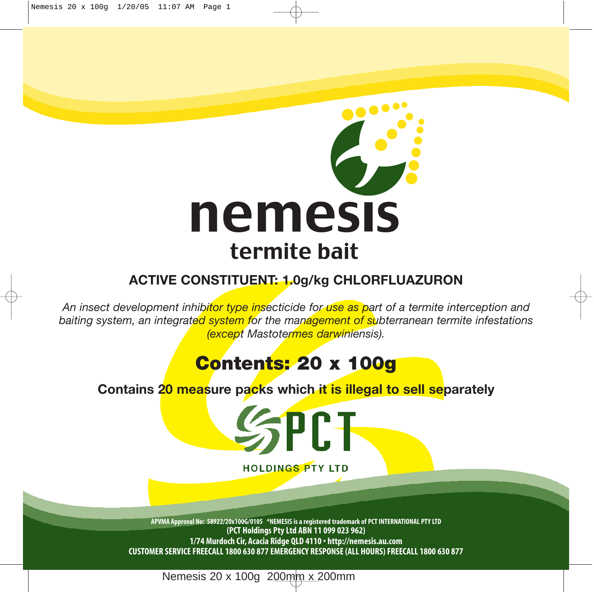

## **ACTIVE CONSTITUENT: 1.0g/kg CHLORFLUAZURON**

*An insect development inhibitor type insecticide for use as part of a termite interception and baiting system, an integrated system for the management of subterranean termite infestations (except Mastotermes darwiniensis).*

# **Contents: 20 x 100g**

**Contains 20 measure packs which it is illegal to sell separately**



**HOLDINGS PTY LTD** 

**APVMA Approval No: 58922/20x100G/0105 \*NEMESIS is a registered trademark of PCT INTERNATIONAL PTY LTD (PCT Holdings Pty Ltd ABN 11 099 023 962) 1/74 Murdoch Cir, Acacia Ridge QLD 4110 • http://nemesis.au.com CUSTOMER SERVICE FREECALL 1800 630 877 EMERGENCY RESPONSE (ALL HOURS) FREECALL 1800 630 877**

Nemesis 20 x 100g 200mm x 200mm